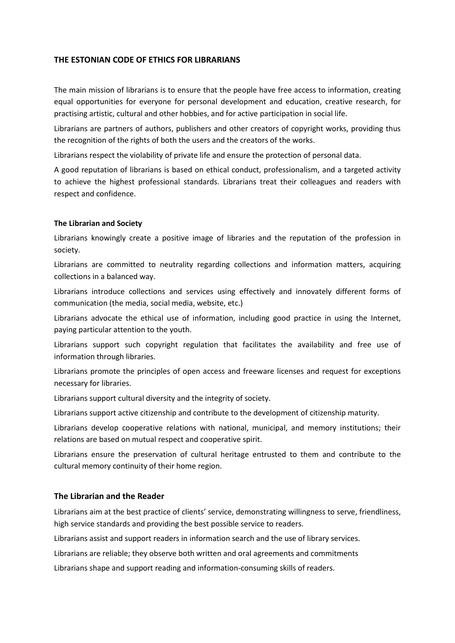## **THE ESTONIAN CODE OF ETHICS FOR LIBRARIANS**

The main mission of librarians is to ensure that the people have free access to information, creating equal opportunities for everyone for personal development and education, creative research, for practising artistic, cultural and other hobbies, and for active participation in social life.

Librarians are partners of authors, publishers and other creators of copyright works, providing thus the recognition of the rights of both the users and the creators of the works.

Librarians respect the violability of private life and ensure the protection of personal data.

A good reputation of librarians is based on ethical conduct, professionalism, and a targeted activity to achieve the highest professional standards. Librarians treat their colleagues and readers with respect and confidence.

## **The Librarian and Society**

Librarians knowingly create a positive image of libraries and the reputation of the profession in society.

Librarians are committed to neutrality regarding collections and information matters, acquiring collections in a balanced way.

Librarians introduce collections and services using effectively and innovately different forms of communication (the media, social media, website, etc.)

Librarians advocate the ethical use of information, including good practice in using the Internet, paying particular attention to the youth.

Librarians support such copyright regulation that facilitates the availability and free use of information through libraries.

Librarians promote the principles of open access and freeware licenses and request for exceptions necessary for libraries.

Librarians support cultural diversity and the integrity of society.

Librarians support active citizenship and contribute to the development of citizenship maturity.

Librarians develop cooperative relations with national, municipal, and memory institutions; their relations are based on mutual respect and cooperative spirit.

Librarians ensure the preservation of cultural heritage entrusted to them and contribute to the cultural memory continuity of their home region.

## **The Librarian and the Reader**

Librarians aim at the best practice of clients' service, demonstrating willingness to serve, friendliness, high service standards and providing the best possible service to readers.

Librarians assist and support readers in information search and the use of library services.

Librarians are reliable; they observe both written and oral agreements and commitments

Librarians shape and support reading and information-consuming skills of readers.